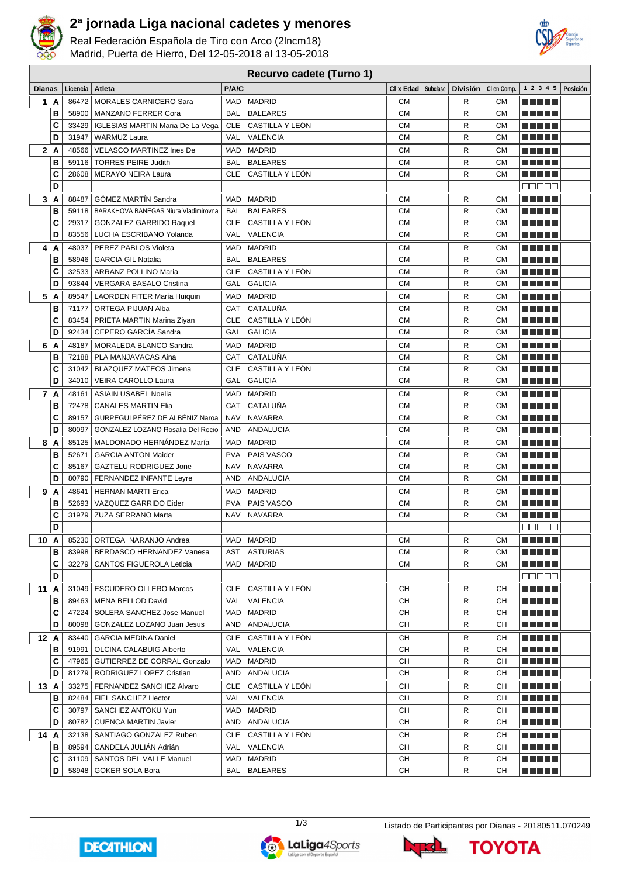

## **2ª jornada Liga nacional cadetes y menores**

Real Federación Española de Tiro con Arco (2lncm18) Madrid, Puerta de Hierro, Del 12-05-2018 al 13-05-2018



## **Recurvo cadete (Turno 1)**

| <b>Dianas</b> |       | Licencia   Atleta                            | P/A/C      |                     | $CI \times Edad$   Subclase | <b>División</b> |           | Clen Comp.   1 2 3 4 5   Posición |  |
|---------------|-------|----------------------------------------------|------------|---------------------|-----------------------------|-----------------|-----------|-----------------------------------|--|
| 1 A           |       | 86472   MORALES CARNICERO Sara               |            | MAD MADRID          | CМ                          | R               | CМ        | .                                 |  |
| в             |       | 58900   MANZANO FERRER Cora                  | BAL        | <b>BALEARES</b>     | <b>CM</b>                   | R               | <b>CM</b> | ma matsa                          |  |
| C             | 33429 | IGLESIAS MARTIN Maria De La Vega             |            | CLE CASTILLA Y LEÓN | СM                          | R               | <b>CM</b> | ma matsa                          |  |
| D             | 31947 | <b>WARMUZ Laura</b>                          |            | VAL VALENCIA        | СM                          | R               | <b>CM</b> |                                   |  |
| 2 A           | 48566 | VELASCO MARTINEZ Ines De                     |            | MAD MADRID          | СM                          | R               | <b>CM</b> | n din bir                         |  |
| В             | 59116 | <b>TORRES PEIRE Judith</b>                   | BAL        | <b>BALEARES</b>     | <b>CM</b>                   | R               | <b>CM</b> | MAN DE                            |  |
| C             | 28608 | <b>MERAYO NEIRA Laura</b>                    |            | CLE CASTILLA Y LEÓN | <b>CM</b>                   | R               | <b>CM</b> | <u> El Bertin</u>                 |  |
| D             |       |                                              |            |                     |                             |                 |           | <b>BBBBB</b>                      |  |
| 3 A           | 88487 | GÓMEZ MARTÍN Sandra                          |            | MAD MADRID          | <b>CM</b>                   | R               | <b>CM</b> | <u> El Berto de la </u>           |  |
| в             |       | 59118   BARAKHOVA BANEGAS Niura Vladimirovna | BAL        | <b>BALEARES</b>     | <b>CM</b>                   | R               | CМ        | .                                 |  |
| C             | 29317 | <b>GONZALEZ GARRIDO Raquel</b>               |            | CLE CASTILLA Y LEÓN | <b>CM</b>                   | R               | CМ        |                                   |  |
| D             | 83556 | LUCHA ESCRIBANO Yolanda                      |            | VAL VALENCIA        | <b>CM</b>                   | R               | CМ        |                                   |  |
| 4 A           | 48037 | PEREZ PABLOS Violeta                         |            | MAD MADRID          | СM                          | R               | CМ        | .                                 |  |
| в             | 58946 | <b>GARCIA GIL Natalia</b>                    | BAL        | <b>BALEARES</b>     | СM                          | R               | CМ        | a katika Indonesia<br>a ka        |  |
| C             | 32533 | ARRANZ POLLINO Maria                         |            | CLE CASTILLA Y LEÓN | <b>CM</b>                   | R               | CМ        | -----                             |  |
| D             | 93844 | <b>VERGARA BASALO Cristina</b>               |            | GAL GALICIA         | СM                          | R               | CМ        | -----                             |  |
| 5 A           | 89547 | LAORDEN FITER María Huiquin                  |            | MAD MADRID          | CМ                          | R               | CМ        | -----                             |  |
| в             | 71177 | ORTEGA PIJUAN Alba                           |            | CAT CATALUÑA        | СM                          | R               | <b>CM</b> | a ka                              |  |
| C             | 83454 | PRIETA MARTIN Marina Ziyan                   |            | CLE CASTILLA Y LEÓN | <b>CM</b>                   | R               | СM        |                                   |  |
| D             | 92434 | CEPERO GARCÍA Sandra                         |            | GAL GALICIA         | СM                          | R               | <b>CM</b> |                                   |  |
| 6 A           | 48187 | MORALEDA BLANCO Sandra                       |            | MAD MADRID          | CМ                          | R               | CМ        | T FI FI FI                        |  |
| В             |       | 72188   PLA MANJAVACAS Aina                  |            | CAT CATALUÑA        | <b>CM</b>                   | R               | <b>CM</b> |                                   |  |
| C             |       | 31042   BLAZQUEZ MATEOS Jimena               | CLE        | CASTILLA Y LEÓN     | <b>CM</b>                   | R               | <b>CM</b> |                                   |  |
| D             | 34010 | VEIRA CAROLLO Laura                          | GAL        | <b>GALICIA</b>      | <b>CM</b>                   | R               | <b>CM</b> |                                   |  |
| 7 A           |       | 48161   ASIAIN USABEL Noelia                 |            | MAD MADRID          | СM                          | R               | <b>CM</b> | MA MD L                           |  |
| в             | 72478 | <b>CANALES MARTIN Elia</b>                   | CAT        | CATALUÑA            | <b>CM</b>                   | R               | <b>CM</b> | ma matsa                          |  |
| C             | 89157 | GURPEGUI PÉREZ DE ALBÉNIZ Naroa              | <b>NAV</b> | <b>NAVARRA</b>      | <b>CM</b>                   | R               | <b>CM</b> | <u> Literatur in s</u>            |  |
| D             | 80097 | GONZALEZ LOZANO Rosalia Del Rocio            | AND        | ANDALUCIA           | <b>CM</b>                   | R               | CМ        | .                                 |  |
| 8 A           | 85125 | MALDONADO HERNÁNDEZ María                    | MAD        | <b>MADRID</b>       | <b>CM</b>                   | R               | <b>CM</b> | ma matsa                          |  |
| В             | 52671 | <b>GARCIA ANTON Maider</b>                   | <b>PVA</b> | PAIS VASCO          | СM                          | R               | СM        |                                   |  |
| C             | 85167 | GAZTELU RODRIGUEZ Jone                       | NAV        | NAVARRA             | СM                          | R               | CМ        | .                                 |  |
| D             | 80790 | FERNANDEZ INFANTE Leyre                      |            | AND ANDALUCIA       | CМ                          | R               | CМ        |                                   |  |
| 9 A           | 48641 | <b>HERNAN MARTI Erica</b>                    | MAD        | <b>MADRID</b>       | СM                          | R               | CМ        |                                   |  |
| в             | 52693 | VAZQUEZ GARRIDO Eider                        | PVA        | PAIS VASCO          | <b>CM</b>                   | R               | CМ        | -----                             |  |
| C             | 31979 | ZUZA SERRANO Marta                           | NAV        | NAVARRA             | <b>CM</b>                   | R               | CМ        |                                   |  |
| D             |       |                                              |            |                     |                             |                 |           | 88888                             |  |
| 10 A          |       | 85230 ORTEGA NARANJO Andrea                  |            | MAD MADRID          | <b>CM</b>                   | R               | <b>CM</b> | ma matsa                          |  |
| В             |       | 83998   BERDASCO HERNANDEZ Vanesa            |            | AST ASTURIAS        | СM                          | R               | CМ        | <u> Literatur</u>                 |  |
| C             |       | 32279   CANTOS FIGUEROLA Leticia             |            | MAD MADRID          | СM                          | R               | СM        | a di Li                           |  |
| D             |       |                                              |            |                     |                             |                 |           | <b>BBBBB</b>                      |  |
| 11 A          |       | 31049   ESCUDERO OLLERO Marcos               |            | CLE CASTILLA Y LEÓN | CН                          | R               | CН        | MA MARIT                          |  |
| в             |       | 89463 MENA BELLOD David                      |            | VAL VALENCIA        | CН                          | R               | CН        |                                   |  |
| С             |       | 47224   SOLERA SANCHEZ Jose Manuel           |            | MAD MADRID          | CН                          | R               | CН        | e de la politik                   |  |
| D             | 80098 | GONZALEZ LOZANO Juan Jesus                   |            | AND ANDALUCIA       | CН                          | R               | CН        | <u> El Bell</u>                   |  |
| 12 A          |       | 83440   GARCIA MEDINA Daniel                 |            | CLE CASTILLA Y LEÓN | CН                          | R               | CН        | n di Tinggi                       |  |
| в             | 91991 | OLCINA CALABUIG Alberto                      |            | VAL VALENCIA        | CН                          | R               | CН        | <u> El El El E</u>                |  |
| C             |       | 47965   GUTIERREZ DE CORRAL Gonzalo          |            | MAD MADRID          | CН                          | R               | CН        | <u> Literatur</u>                 |  |
| D             | 81279 | RODRIGUEZ LOPEZ Cristian                     |            | AND ANDALUCIA       | CН                          | R               | CН        | <u> Literatur</u>                 |  |
| 13A           |       | 33275   FERNANDEZ SANCHEZ Alvaro             |            | CLE CASTILLA Y LEÓN | CН                          | R               | CН        | <u> Literatur</u>                 |  |
| в             |       | 82484   FIEL SANCHEZ Hector                  |            | VAL VALENCIA        | CН                          | R               | CН        | <u> Literatur</u>                 |  |
| С             |       | 30797   SANCHEZ ANTOKU Yun                   |            | MAD MADRID          | CН                          | R               | CН        | <u> Literatur</u>                 |  |
| D             |       | 80782   CUENCA MARTIN Javier                 |            | AND ANDALUCIA       | CН                          | R               | CН        | <u> Literatur</u>                 |  |
| 14A           |       | 32138   SANTIAGO GONZALEZ Ruben              |            | CLE CASTILLA Y LEÓN | CН                          | R               | CН        | <u> Literatur</u>                 |  |
| в             |       | 89594   CANDELA JULIAN Adrián                |            | VAL VALENCIA        | CН                          | R               | CН        | <u>a kata ing Pa</u>              |  |
| С             |       | 31109   SANTOS DEL VALLE Manuel              |            | MAD MADRID          | CН                          | R               | CН        | <u>a kata ing Pa</u>              |  |
| D             |       | 58948   GOKER SOLA Bora                      |            | BAL BALEARES        | CН                          | R               | CН        | N E E E E                         |  |







**TOYOTA**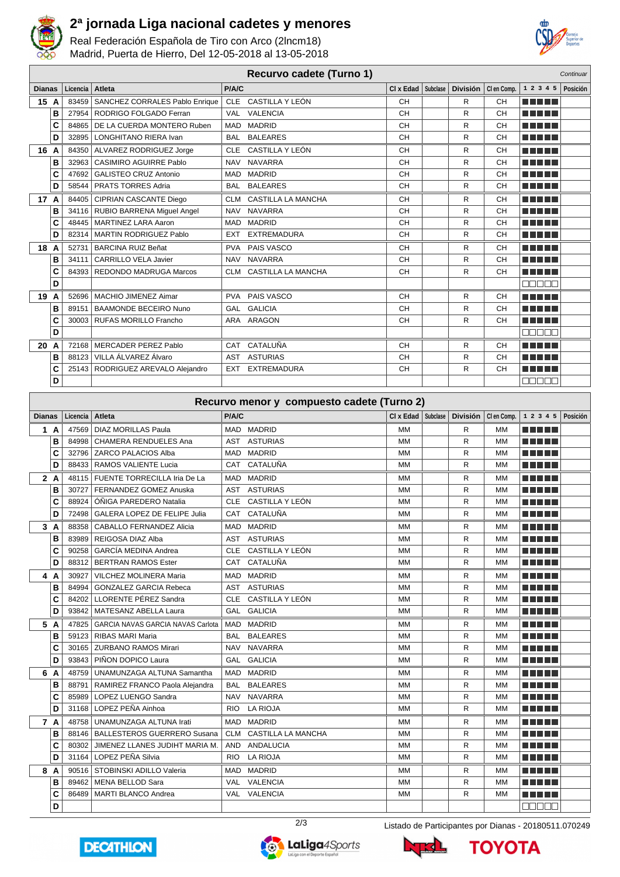

## **2ª jornada Liga nacional cadetes y menores**

Real Federación Española de Tiro con Arco (2lncm18) Madrid, Puerta de Hierro, Del 12-05-2018 al 13-05-2018



| Recurvo cadete (Turno 1)<br>Continuar |          |                                     |            |                           |                      |  |              |                       |                           |          |  |
|---------------------------------------|----------|-------------------------------------|------------|---------------------------|----------------------|--|--------------|-----------------------|---------------------------|----------|--|
| <b>Dianas</b>                         | Licencia | Atleta                              | P/A/C      |                           | CI x Edad   Subclase |  |              | División   Clen Comp. | 1 2 3 4 5                 | Posición |  |
| 15 A                                  | 83459    | SANCHEZ CORRALES Pablo Enrique      | CLE        | CASTILLA Y LEÓN           | CH                   |  | R            | <b>CH</b>             | a na mats                 |          |  |
| B                                     | 27954    | RODRIGO FOLGADO Ferran              | VAL        | VALENCIA                  | CH                   |  | R            | CH                    | TI TITLE                  |          |  |
| C                                     | 84865    | DE LA CUERDA MONTERO Ruben          | <b>MAD</b> | <b>MADRID</b>             | <b>CH</b>            |  | R            | <b>CH</b>             | T FI TITLE                |          |  |
| D                                     | 32895    | LONGHITANO RIERA Ivan               | <b>BAL</b> | <b>BALEARES</b>           | <b>CH</b>            |  | R            | <b>CH</b>             | n din se                  |          |  |
| 16<br>A                               |          | 84350 ALVAREZ RODRIGUEZ Jorge       | CLE        | CASTILLA Y LEÓN           | CH                   |  | R            | <b>CH</b>             | n na mata                 |          |  |
| в                                     | 32963    | CASIMIRO AGUIRRE Pablo              | <b>NAV</b> | <b>NAVARRA</b>            | CH                   |  | R            | <b>CH</b>             | T FI TITLE                |          |  |
| C                                     | 47692    | <b>GALISTEO CRUZ Antonio</b>        | <b>MAD</b> | <b>MADRID</b>             | CH                   |  | R            | <b>CH</b>             | TI TITLE                  |          |  |
| D                                     | 58544    | <b>PRATS TORRES Adria</b>           | <b>BAL</b> | <b>BALEARES</b>           | <b>CH</b>            |  | R            | <b>CH</b>             | TITI TITI                 |          |  |
| 17 A                                  | 84405    | <b>CIPRIAN CASCANTE Diego</b>       | <b>CLM</b> | <b>CASTILLA LA MANCHA</b> | CH                   |  | R            | <b>CH</b>             | T E E E E                 |          |  |
| в                                     | 34116    | RUBIO BARRENA Miguel Angel          | <b>NAV</b> | <b>NAVARRA</b>            | <b>CH</b>            |  | R            | <b>CH</b>             | 300 D D D                 |          |  |
| C                                     | 48445    | MARTINEZ LARA Aaron                 | <b>MAD</b> | <b>MADRID</b>             | CH                   |  | R            | <b>CH</b>             | a propinsi Kabupatén Band |          |  |
| D                                     | 82314    | <b>MARTIN RODRIGUEZ Pablo</b>       | <b>EXT</b> | <b>EXTREMADURA</b>        | CH                   |  | R            | <b>CH</b>             | TITI TITI                 |          |  |
| 18<br>A                               | 52731    | <b>BARCINA RUIZ Beñat</b>           | <b>PVA</b> | PAIS VASCO                | CH                   |  | R            | <b>CH</b>             | T FI TITLE                |          |  |
| B                                     | 34111    | CARRILLO VELA Javier                | <b>NAV</b> | <b>NAVARRA</b>            | CH                   |  | R            | CH                    | TE ELE                    |          |  |
| C                                     |          | 84393 REDONDO MADRUGA Marcos        | <b>CLM</b> | CASTILLA LA MANCHA        | CH                   |  | $\mathsf{R}$ | <b>CH</b>             | T E E E                   |          |  |
| D                                     |          |                                     |            |                           |                      |  |              |                       | nnnn                      |          |  |
| 19<br>A                               | 52696    | MACHIO JIMENEZ Aimar                | <b>PVA</b> | PAIS VASCO                | CH                   |  | R            | <b>CH</b>             | a pri                     |          |  |
| B                                     | 89151    | BAAMONDE BECEIRO Nuno               | GAL        | <b>GALICIA</b>            | CH                   |  | R            | CH                    | a katika Ing              |          |  |
| C                                     |          | 30003 RUFAS MORILLO Francho         |            | ARA ARAGON                | <b>CH</b>            |  | R            | <b>CH</b>             | TE ELE                    |          |  |
| D                                     |          |                                     |            |                           |                      |  |              |                       | enene                     |          |  |
| 20<br>A                               | 72168    | <b>MERCADER PEREZ Pablo</b>         | CAT        | CATALUÑA                  | CH                   |  | R            | <b>CH</b>             | n din bir                 |          |  |
| в                                     | 88123    | VILLA ÁLVAREZ Álvaro                | AST        | <b>ASTURIAS</b>           | CH                   |  | R            | <b>CH</b>             |                           |          |  |
| C                                     |          | 25143   RODRIGUEZ AREVALO Alejandro | <b>EXT</b> | <b>EXTREMADURA</b>        | CH                   |  | R            | <b>CH</b>             | a katika                  |          |  |
| D                                     |          |                                     |            |                           |                      |  |              |                       | na a a a                  |          |  |

|               | Recurvo menor y compuesto cadete (Turno 2) |          |                                          |            |                    |           |          |                 |             |                              |          |
|---------------|--------------------------------------------|----------|------------------------------------------|------------|--------------------|-----------|----------|-----------------|-------------|------------------------------|----------|
| <b>Dianas</b> |                                            | Licencia | Atleta                                   | P/A/C      |                    | CI x Edad | Subclase | <b>División</b> | CI en Comp. | 1 2 3 4 5                    | Posición |
|               | 1A                                         | 47569    | <b>DIAZ MORILLAS Paula</b>               |            | MAD MADRID         | <b>MM</b> |          | R               | <b>MM</b>   | n di Titolo                  |          |
|               | в                                          | 84998    | <b>CHAMERA RENDUELES Ana</b>             | <b>AST</b> | <b>ASTURIAS</b>    | <b>MM</b> |          | R               | <b>MM</b>   | n din bir                    |          |
|               | C                                          | 32796    | <b>ZARCO PALACIOS Alba</b>               | <b>MAD</b> | <b>MADRID</b>      | MM        |          | R               | MМ          | T FIFTI T                    |          |
|               | D                                          | 88433    | <b>RAMOS VALIENTE Lucia</b>              | <b>CAT</b> | CATALUÑA           | MM        |          | R               | MM          | T FI FI FI                   |          |
|               | 2A                                         | 48115    | FUENTE TORRECILLA Iria De La             | <b>MAD</b> | <b>MADRID</b>      | MМ        |          | R               | MM          | ma matsa                     |          |
|               | B                                          | 30727    | FERNANDEZ GOMEZ Anuska                   | AST        | <b>ASTURIAS</b>    | MM        |          | R               | MM          | TI FI FI FI                  |          |
|               | C                                          | 88924    | ÓÑIGA PAREDERO Natalia                   | <b>CLE</b> | CASTILLA Y LEÓN    | <b>MM</b> |          | R               | <b>MM</b>   | n din bir                    |          |
|               | D                                          | 72498    | <b>GALERA LOPEZ DE FELIPE Julia</b>      | <b>CAT</b> | CATALUÑA           | <b>MM</b> |          | R               | MМ          | ma mata                      |          |
|               | 3A                                         | 88358    | <b>CABALLO FERNANDEZ Alicia</b>          | <b>MAD</b> | <b>MADRID</b>      | <b>MM</b> |          | R               | MМ          | T FI FI FI                   |          |
|               | в                                          | 83989    | REIGOSA DIAZ Alba                        | AST        | <b>ASTURIAS</b>    | MM        |          | R               | <b>MM</b>   | an ing Kabupatèn Bag<br>a ka |          |
|               | C                                          | 90258    | GARCÍA MEDINA Andrea                     | CLE        | CASTILLA Y LEÓN    | MM        |          | R               | MM          | TITI TITI                    |          |
|               | D                                          | 88312    | <b>BERTRAN RAMOS Ester</b>               | <b>CAT</b> | CATALUÑA           | <b>MM</b> |          | R               | <b>MM</b>   | T FI FI FI                   |          |
|               | 4 A                                        | 30927    | <b>VILCHEZ MOLINERA Maria</b>            | <b>MAD</b> | <b>MADRID</b>      | MM        |          | R               | MМ          | a da biyu                    |          |
|               | в                                          | 84994    | <b>GONZALEZ GARCIA Rebeca</b>            | <b>AST</b> | <b>ASTURIAS</b>    | <b>MM</b> |          | R               | <b>MM</b>   | TITI TITI                    |          |
|               | C                                          | 84202    | LLORENTE PÉREZ Sandra                    | <b>CLE</b> | CASTILLA Y LEÓN    | MМ        |          | R               | MМ          | T FI FI FI                   |          |
|               | D                                          | 93842    | <b>MATESANZ ABELLA Laura</b>             | GAL        | <b>GALICIA</b>     | <b>MM</b> |          | R               | <b>MM</b>   | T FI FI FI                   |          |
|               | 5 A                                        | 47825    | <b>GARCIA NAVAS GARCIA NAVAS Carlota</b> | MAD        | <b>MADRID</b>      | MМ        |          | R               | MМ          | n din bir                    |          |
|               | B                                          | 59123    | <b>RIBAS MARI Maria</b>                  | <b>BAL</b> | <b>BALEARES</b>    | <b>MM</b> |          | R               | <b>MM</b>   | ma matsa                     |          |
|               | C                                          | 30165    | <b>ZURBANO RAMOS Mirari</b>              | <b>NAV</b> | <b>NAVARRA</b>     | MM        |          | R               | MМ          | a di Biblio                  |          |
|               | D                                          | 93843    | PIÑON DOPICO Laura                       | GAL        | <b>GALICIA</b>     | MM        |          | R               | MМ          | T FI FI FI                   |          |
| 6             | A                                          | 48759    | UNAMUNZAGA ALTUNA Samantha               | <b>MAD</b> | <b>MADRID</b>      | MM        |          | R               | MМ          | T FI FI FI                   |          |
|               | B                                          | 88791    | RAMIREZ FRANCO Paola Alejandra           | <b>BAL</b> | <b>BALEARES</b>    | MM        |          | R               | MM          | TI TITLET                    |          |
|               | C                                          | 85989    | LOPEZ LUENGO Sandra                      | <b>NAV</b> | <b>NAVARRA</b>     | <b>MM</b> |          | R               | <b>MM</b>   | T FIFTI T                    |          |
|               | D                                          | 31168    | LOPEZ PEÑA Ainhoa                        | <b>RIO</b> | <b>LA RIOJA</b>    | <b>MM</b> |          | R               | <b>MM</b>   | n din bir                    |          |
|               | 7 A                                        | 48758    | <b>UNAMUNZAGA ALTUNA Irati</b>           | <b>MAD</b> | <b>MADRID</b>      | MМ        |          | R               | MМ          | TITI TIL                     |          |
|               | в                                          | 88146    | <b>BALLESTEROS GUERRERO Susana</b>       | <b>CLM</b> | CASTILLA LA MANCHA | <b>MM</b> |          | R               | <b>MM</b>   | The Co<br>a pro              |          |
|               | C                                          | 80302    | JIMENEZ LLANES JUDIHT MARIA M.           | AND        | ANDALUCIA          | MМ        |          | R               | MМ          | TI TITLET                    |          |
|               | D                                          | 31164    | LOPEZ PEÑA Silvia                        | <b>RIO</b> | <b>LA RIOJA</b>    | MM        |          | R               | <b>MM</b>   | T FI FI FI                   |          |
|               | 8 A                                        | 90516    | STOBINSKI ADILLO Valeria                 | <b>MAD</b> | <b>MADRID</b>      | MM        |          | R               | MМ          | TITI TITI                    |          |
|               | B                                          | 89462    | <b>MENA BELLOD Sara</b>                  | VAL        | <b>VALENCIA</b>    | <b>MM</b> |          | R               | <b>MM</b>   | TITI DE                      |          |
|               | c                                          | 86489    | <b>MARTI BLANCO Andrea</b>               | <b>VAL</b> | <b>VALENCIA</b>    | MМ        |          | R               | MМ          | a di Biblio                  |          |
|               | D                                          |          |                                          |            |                    |           |          |                 |             | e e e e e                    |          |





2/3 Listado de Participantes por Dianas - 20180511.070249